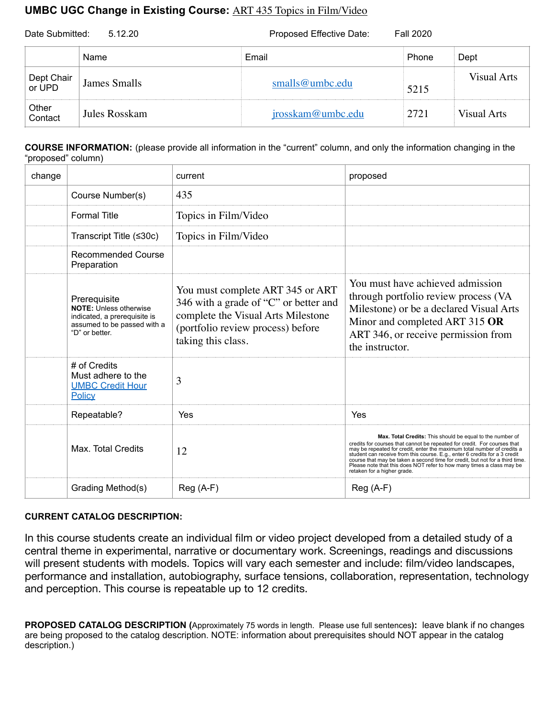## **UMBC UGC Change in Existing Course:** ART 435 Topics in Film/Video

| Date Submitted:<br>5.12.20 |                     | Proposed Effective Date:<br><b>Fall 2020</b> |       |             |
|----------------------------|---------------------|----------------------------------------------|-------|-------------|
|                            | Name                | Email                                        | Phone | Dept        |
| Dept Chair<br>or UPD       | <b>James Smalls</b> | smalls@umbc.edu                              | 5215  | Visual Arts |
| Other<br>Contact           | Jules Rosskam       | jrosskam@umbc.edu                            | 2721  | Visual Arts |

**COURSE INFORMATION:** (please provide all information in the "current" column, and only the information changing in the "proposed" column)

| change |                                                                                                                                | current                                                                                                                                                                    | proposed                                                                                                                                                                                                                                                                                                                                                                                                                                                                               |
|--------|--------------------------------------------------------------------------------------------------------------------------------|----------------------------------------------------------------------------------------------------------------------------------------------------------------------------|----------------------------------------------------------------------------------------------------------------------------------------------------------------------------------------------------------------------------------------------------------------------------------------------------------------------------------------------------------------------------------------------------------------------------------------------------------------------------------------|
|        | Course Number(s)                                                                                                               | 435                                                                                                                                                                        |                                                                                                                                                                                                                                                                                                                                                                                                                                                                                        |
|        | <b>Formal Title</b>                                                                                                            | Topics in Film/Video                                                                                                                                                       |                                                                                                                                                                                                                                                                                                                                                                                                                                                                                        |
|        | Transcript Title (≤30c)                                                                                                        | Topics in Film/Video                                                                                                                                                       |                                                                                                                                                                                                                                                                                                                                                                                                                                                                                        |
|        | Recommended Course<br>Preparation                                                                                              |                                                                                                                                                                            |                                                                                                                                                                                                                                                                                                                                                                                                                                                                                        |
|        | Prerequisite<br><b>NOTE: Unless otherwise</b><br>indicated, a prerequisite is<br>assumed to be passed with a<br>"D" or better. | You must complete ART 345 or ART<br>346 with a grade of "C" or better and<br>complete the Visual Arts Milestone<br>(portfolio review process) before<br>taking this class. | You must have achieved admission<br>through portfolio review process (VA<br>Milestone) or be a declared Visual Arts<br>Minor and completed ART 315 OR<br>ART 346, or receive permission from<br>the instructor.                                                                                                                                                                                                                                                                        |
|        | # of Credits<br>Must adhere to the<br><b>UMBC Credit Hour</b><br>Policy                                                        | 3                                                                                                                                                                          |                                                                                                                                                                                                                                                                                                                                                                                                                                                                                        |
|        | Repeatable?                                                                                                                    | Yes                                                                                                                                                                        | Yes                                                                                                                                                                                                                                                                                                                                                                                                                                                                                    |
|        | Max. Total Credits                                                                                                             | 12                                                                                                                                                                         | Max. Total Credits: This should be equal to the number of<br>credits for courses that cannot be repeated for credit. For courses that<br>may be repeated for credit, enter the maximum total number of credits a<br>student can receive from this course. E.g., enter 6 credits for a 3 credit<br>course that may be taken a second time for credit, but not for a third time.<br>Please note that this does NOT refer to how many times a class may be<br>retaken for a higher grade. |
|        | Grading Method(s)                                                                                                              | $Reg(A-F)$                                                                                                                                                                 | $Reg(A-F)$                                                                                                                                                                                                                                                                                                                                                                                                                                                                             |

## **CURRENT CATALOG DESCRIPTION:**

In this course students create an individual film or video project developed from a detailed study of a central theme in experimental, narrative or documentary work. Screenings, readings and discussions will present students with models. Topics will vary each semester and include: film/video landscapes, performance and installation, autobiography, surface tensions, collaboration, representation, technology and perception. This course is repeatable up to 12 credits.

**PROPOSED CATALOG DESCRIPTION (**Approximately 75 words in length. Please use full sentences**):** leave blank if no changes are being proposed to the catalog description. NOTE: information about prerequisites should NOT appear in the catalog description.)